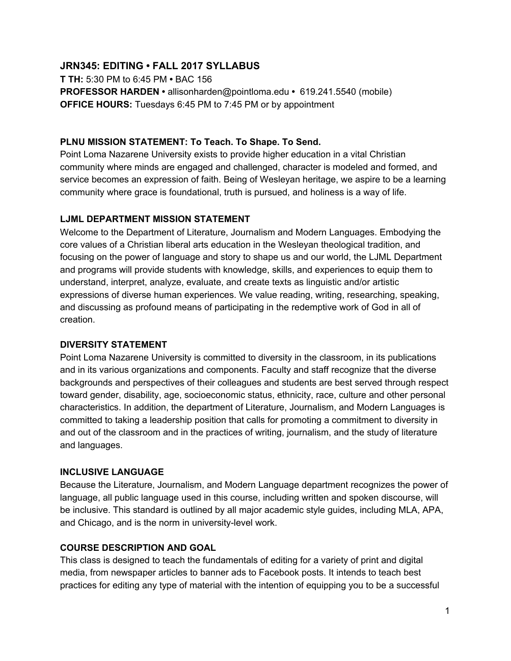# **JRN345: EDITING • FALL 2017 SYLLABUS**

**T TH:** 5:30 PM to 6:45 PM **•** BAC 156 **PROFESSOR HARDEN •** allisonharden@pointloma.edu **•** 619.241.5540 (mobile) **OFFICE HOURS:** Tuesdays 6:45 PM to 7:45 PM or by appointment

### **PLNU MISSION STATEMENT: To Teach. To Shape. To Send.**

Point Loma Nazarene University exists to provide higher education in a vital Christian community where minds are engaged and challenged, character is modeled and formed, and service becomes an expression of faith. Being of Wesleyan heritage, we aspire to be a learning community where grace is foundational, truth is pursued, and holiness is a way of life.

## **LJML DEPARTMENT MISSION STATEMENT**

Welcome to the Department of Literature, Journalism and Modern Languages. Embodying the core values of a Christian liberal arts education in the Wesleyan theological tradition, and focusing on the power of language and story to shape us and our world, the LJML Department and programs will provide students with knowledge, skills, and experiences to equip them to understand, interpret, analyze, evaluate, and create texts as linguistic and/or artistic expressions of diverse human experiences. We value reading, writing, researching, speaking, and discussing as profound means of participating in the redemptive work of God in all of creation.

## **DIVERSITY STATEMENT**

Point Loma Nazarene University is committed to diversity in the classroom, in its publications and in its various organizations and components. Faculty and staff recognize that the diverse backgrounds and perspectives of their colleagues and students are best served through respect toward gender, disability, age, socioeconomic status, ethnicity, race, culture and other personal characteristics. In addition, the department of Literature, Journalism, and Modern Languages is committed to taking a leadership position that calls for promoting a commitment to diversity in and out of the classroom and in the practices of writing, journalism, and the study of literature and languages.

## **INCLUSIVE LANGUAGE**

Because the Literature, Journalism, and Modern Language department recognizes the power of language, all public language used in this course, including written and spoken discourse, will be inclusive. This standard is outlined by all major academic style guides, including MLA, APA, and Chicago, and is the norm in university-level work.

## **COURSE DESCRIPTION AND GOAL**

This class is designed to teach the fundamentals of editing for a variety of print and digital media, from newspaper articles to banner ads to Facebook posts. It intends to teach best practices for editing any type of material with the intention of equipping you to be a successful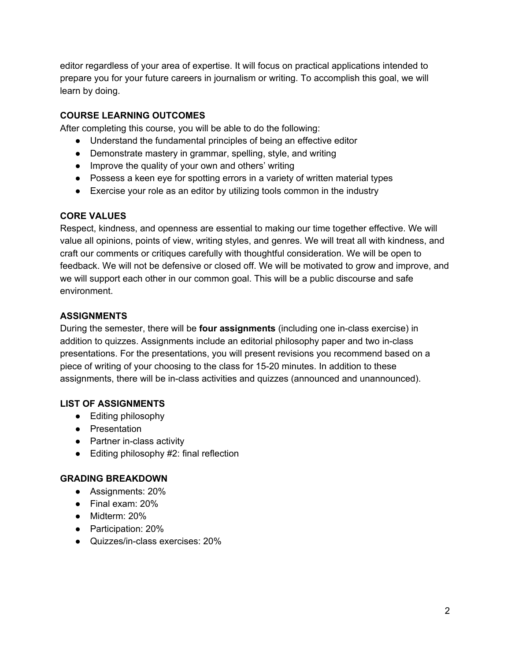editor regardless of your area of expertise. It will focus on practical applications intended to prepare you for your future careers in journalism or writing. To accomplish this goal, we will learn by doing.

## **COURSE LEARNING OUTCOMES**

After completing this course, you will be able to do the following:

- Understand the fundamental principles of being an effective editor
- Demonstrate mastery in grammar, spelling, style, and writing
- Improve the quality of your own and others' writing
- Possess a keen eye for spotting errors in a variety of written material types
- Exercise your role as an editor by utilizing tools common in the industry

#### **CORE VALUES**

Respect, kindness, and openness are essential to making our time together effective. We will value all opinions, points of view, writing styles, and genres. We will treat all with kindness, and craft our comments or critiques carefully with thoughtful consideration. We will be open to feedback. We will not be defensive or closed off. We will be motivated to grow and improve, and we will support each other in our common goal. This will be a public discourse and safe environment.

#### **ASSIGNMENTS**

During the semester, there will be **four assignments** (including one in-class exercise) in addition to quizzes. Assignments include an editorial philosophy paper and two in-class presentations. For the presentations, you will present revisions you recommend based on a piece of writing of your choosing to the class for 15-20 minutes. In addition to these assignments, there will be in-class activities and quizzes (announced and unannounced).

#### **LIST OF ASSIGNMENTS**

- Editing philosophy
- Presentation
- Partner in-class activity
- Editing philosophy #2: final reflection

#### **GRADING BREAKDOWN**

- Assignments: 20%
- Final exam: 20%
- Midterm: 20%
- Participation: 20%
- Quizzes/in-class exercises: 20%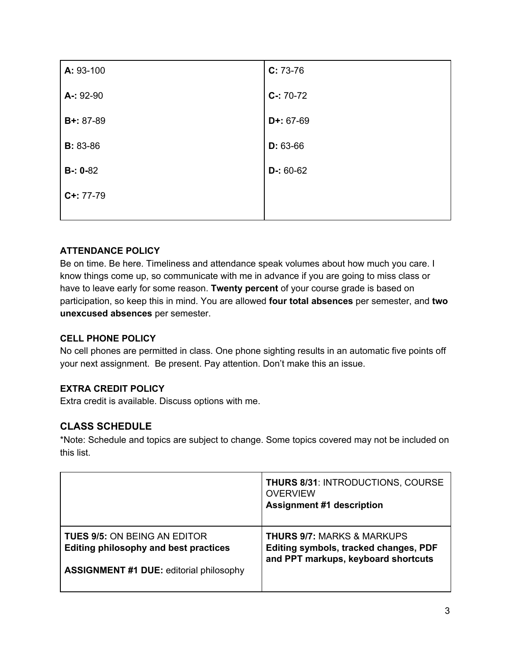| A: 93-100        | $C: 73-76$  |
|------------------|-------------|
| A-: 92-90        | $C-: 70-72$ |
| <b>B+:</b> 87-89 | $D+: 67-69$ |
| <b>B</b> : 83-86 | $D: 63-66$  |
| $B - 0 - 82$     | $D-: 60-62$ |
| $C+: 77-79$      |             |
|                  |             |

## **ATTENDANCE POLICY**

Be on time. Be here. Timeliness and attendance speak volumes about how much you care. I know things come up, so communicate with me in advance if you are going to miss class or have to leave early for some reason. **Twenty percent** of your course grade is based on participation, so keep this in mind. You are allowed **four total absences** per semester, and **two unexcused absences** per semester.

## **CELL PHONE POLICY**

No cell phones are permitted in class. One phone sighting results in an automatic five points off your next assignment. Be present. Pay attention. Don't make this an issue.

# **EXTRA CREDIT POLICY**

Extra credit is available. Discuss options with me.

# **CLASS SCHEDULE**

\*Note: Schedule and topics are subject to change. Some topics covered may not be included on this list.

|                                                | <b>THURS 8/31: INTRODUCTIONS, COURSE</b><br><b>OVERVIEW</b><br><b>Assignment #1 description</b> |
|------------------------------------------------|-------------------------------------------------------------------------------------------------|
| <b>TUES 9/5: ON BEING AN EDITOR</b>            | <b>THURS 9/7: MARKS &amp; MARKUPS</b>                                                           |
| Editing philosophy and best practices          | Editing symbols, tracked changes, PDF                                                           |
| <b>ASSIGNMENT #1 DUE:</b> editorial philosophy | and PPT markups, keyboard shortcuts                                                             |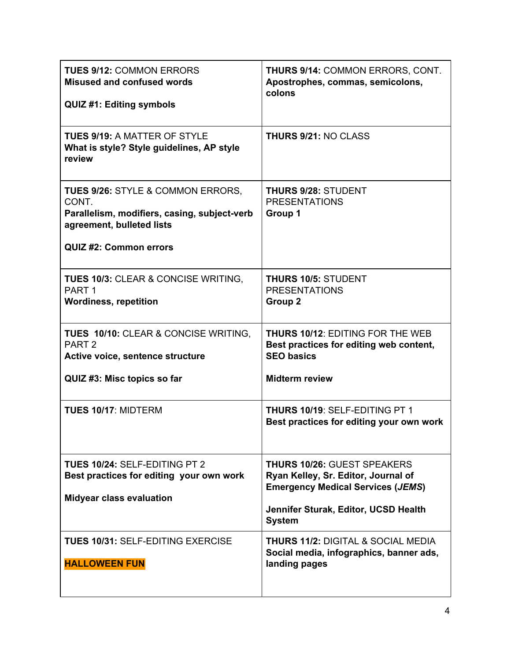| <b>TUES 9/12: COMMON ERRORS</b><br><b>Misused and confused words</b><br><b>QUIZ #1: Editing symbols</b>                                                             | <b>THURS 9/14: COMMON ERRORS, CONT.</b><br>Apostrophes, commas, semicolons,<br>colons                                                                                          |
|---------------------------------------------------------------------------------------------------------------------------------------------------------------------|--------------------------------------------------------------------------------------------------------------------------------------------------------------------------------|
| <b>TUES 9/19: A MATTER OF STYLE</b><br>What is style? Style guidelines, AP style<br>review                                                                          | <b>THURS 9/21: NO CLASS</b>                                                                                                                                                    |
| <b>TUES 9/26: STYLE &amp; COMMON ERRORS,</b><br>CONT.<br>Parallelism, modifiers, casing, subject-verb<br>agreement, bulleted lists<br><b>QUIZ #2: Common errors</b> | <b>THURS 9/28: STUDENT</b><br><b>PRESENTATIONS</b><br>Group 1                                                                                                                  |
| <b>TUES 10/3: CLEAR &amp; CONCISE WRITING,</b><br>PART <sub>1</sub><br><b>Wordiness, repetition</b>                                                                 | <b>THURS 10/5: STUDENT</b><br><b>PRESENTATIONS</b><br>Group <sub>2</sub>                                                                                                       |
| TUES 10/10: CLEAR & CONCISE WRITING,<br>PART <sub>2</sub><br>Active voice, sentence structure<br>QUIZ #3: Misc topics so far                                        | <b>THURS 10/12: EDITING FOR THE WEB</b><br>Best practices for editing web content,<br><b>SEO basics</b><br><b>Midterm review</b>                                               |
| <b>TUES 10/17: MIDTERM</b>                                                                                                                                          | <b>THURS 10/19: SELF-EDITING PT 1</b><br>Best practices for editing your own work                                                                                              |
| TUES 10/24: SELF-EDITING PT 2<br>Best practices for editing your own work<br><b>Midyear class evaluation</b>                                                        | <b>THURS 10/26: GUEST SPEAKERS</b><br>Ryan Kelley, Sr. Editor, Journal of<br><b>Emergency Medical Services (JEMS)</b><br>Jennifer Sturak, Editor, UCSD Health<br><b>System</b> |
| <b>TUES 10/31: SELF-EDITING EXERCISE</b><br><b>HALLOWEEN FUN</b>                                                                                                    | <b>THURS 11/2:</b> DIGITAL & SOCIAL MEDIA<br>Social media, infographics, banner ads,<br>landing pages                                                                          |